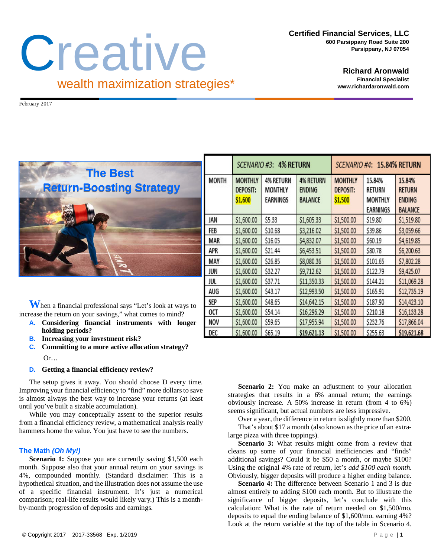**Certified Financial Services, LLC 600 Parsippany Road Suite 200 Parsippany, NJ 07054**

## **Creative** wealth maximization strategies\*

**Richard Aronwald Financial Specialist www.richardaronwald.com**

February 2017



**W**hen a financial professional says "Let's look at ways to increase the return on your savings," what comes to mind?

- **A. Considering financial instruments with longer holding periods?**
- **B. Increasing your investment risk?**
- **C. Committing to a more active allocation strategy?** Or…

## **D. Getting a financial efficiency review?**

The setup gives it away. You should choose D every time. Improving your financial efficiency to "find" more dollars to save is almost always the best way to increase your returns (at least until you've built a sizable accumulation).

While you may conceptually assent to the superior results from a financial efficiency review, a mathematical analysis really hammers home the value. You just have to see the numbers.

## **The Math** *(Oh My!)*

**Scenario 1:** Suppose you are currently saving \$1,500 each month. Suppose also that your annual return on your savings is 4%, compounded monthly. (Standard disclaimer: This is a hypothetical situation, and the illustration does not assume the use of a specific financial instrument. It's just a numerical comparison; real-life results would likely vary.) This is a monthby-month progression of deposits and earnings.

|              | <b>4% RETURN</b><br>SCENARIO #3:             |                                                       |                                              | <b>15.84% RETURN</b><br>SCENARIO #4:         |                                                       |                                                            |
|--------------|----------------------------------------------|-------------------------------------------------------|----------------------------------------------|----------------------------------------------|-------------------------------------------------------|------------------------------------------------------------|
| <b>MONTH</b> | <b>MONTHLY</b><br><b>DEPOSIT:</b><br>\$1,600 | <b>4% RETURN</b><br><b>MONTHLY</b><br><b>EARNINGS</b> | <b>4% RETURN</b><br>ENDING<br><b>BALANCE</b> | <b>MONTHLY</b><br><b>DEPOSIT:</b><br>\$1,500 | 15.84%<br><b>RETURN</b><br><b>MONTHLY</b><br>EARNINGS | 15.84%<br><b>RETURN</b><br><b>ENDING</b><br><b>BALANCE</b> |
| JAN          | \$1,600.00                                   | \$5.33                                                | \$1,605.33                                   | \$1,500.00                                   | \$19.80                                               | \$1,519.80                                                 |
| FEB          | \$1,600.00                                   | \$10.68                                               | \$3,216.02                                   | \$1,500.00                                   | \$39.86                                               | \$3,059.66                                                 |
| MAR          | \$1,600.00                                   | \$16.05                                               | \$4,832.07                                   | \$1,500.00                                   | \$60.19                                               | \$4,619.85                                                 |
| APR          | \$1,600.00                                   | \$21.44                                               | \$6,453.51                                   | \$1,500.00                                   | \$80.78                                               | \$6,200.63                                                 |
| MAY          | \$1,600.00                                   | \$26.85                                               | \$8,080.36                                   | \$1,500.00                                   | \$101.65                                              | \$7,802.28                                                 |
| JUN          | \$1,600.00                                   | \$32.27                                               | \$9,712.62                                   | \$1,500.00                                   | \$122.79                                              | \$9,425.07                                                 |
| jul          | \$1,600.00                                   | \$37.71                                               | \$11,350.33                                  | \$1,500.00                                   | \$144.21                                              | \$11,069.28                                                |
| AUG          | \$1,600.00                                   | \$43.17                                               | \$12,993.50                                  | \$1,500.00                                   | \$165.91                                              | \$12,735.19                                                |
| SEP          | \$1,600.00                                   | \$48.65                                               | \$14,642.15                                  | \$1,500.00                                   | \$187.90                                              | \$14,423.10                                                |
| 0CT          | \$1,600.00                                   | \$54.14                                               | \$16,296.29                                  | \$1,500.00                                   | \$210.18                                              | \$16,133.28                                                |
| NOV          | \$1,600.00                                   | \$59.65                                               | \$17,955.94                                  | \$1,500.00                                   | \$232.76                                              | \$17,866.04                                                |
| DEC          | \$1,600.00                                   | \$65.19                                               | \$19,621.13                                  | \$1,500.00                                   | \$255.63                                              | \$19,621.68                                                |

**Scenario 2:** You make an adjustment to your allocation strategies that results in a 6% annual return; the earnings obviously increase. A 50% increase in return (from 4 to 6%) seems significant, but actual numbers are less impressive.

Over a year, the difference in return is slightly more than \$200.

That's about \$17 a month (also known as the price of an extralarge pizza with three toppings).

**Scenario 3:** What results might come from a review that cleans up some of your financial inefficiencies and "finds" additional savings? Could it be \$50 a month, or maybe \$100? Using the original 4% rate of return, let's *add \$100 each month*. Obviously, bigger deposits will produce a higher ending balance.

**Scenario 4:** The difference between Scenario 1 and 3 is due almost entirely to adding \$100 each month. But to illustrate the significance of bigger deposits, let's conclude with this calculation: What is the rate of return needed on \$1,500/mo. deposits to equal the ending balance of \$1,600/mo. earning 4%? Look at the return variable at the top of the table in Scenario 4.